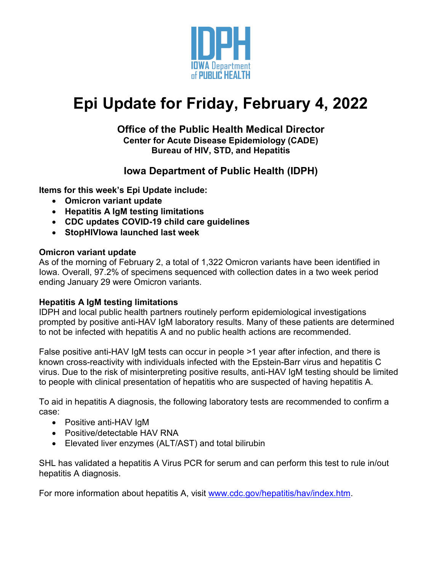

# **Epi Update for Friday, February 4, 2022**

### **Office of the Public Health Medical Director Center for Acute Disease Epidemiology (CADE) Bureau of HIV, STD, and Hepatitis**

# **Iowa Department of Public Health (IDPH)**

**Items for this week's Epi Update include:**

- **Omicron variant update**
- **Hepatitis A IgM testing limitations**
- **CDC updates COVID-19 child care guidelines**
- **StopHIVIowa launched last week**

# **Omicron variant update**

As of the morning of February 2, a total of 1,322 Omicron variants have been identified in Iowa. Overall, 97.2% of specimens sequenced with collection dates in a two week period ending January 29 were Omicron variants.

## **Hepatitis A IgM testing limitations**

IDPH and local public health partners routinely perform epidemiological investigations prompted by positive anti-HAV IgM laboratory results. Many of these patients are determined to not be infected with hepatitis A and no public health actions are recommended.

False positive anti-HAV IgM tests can occur in people >1 year after infection, and there is known cross-reactivity with individuals infected with the Epstein-Barr virus and hepatitis C virus. Due to the risk of misinterpreting positive results, anti-HAV IgM testing should be limited to people with clinical presentation of hepatitis who are suspected of having hepatitis A.

To aid in hepatitis A diagnosis, the following laboratory tests are recommended to confirm a case:

- Positive anti-HAV IgM
- Positive/detectable HAV RNA
- Elevated liver enzymes (ALT/AST) and total bilirubin

SHL has validated a hepatitis A Virus PCR for serum and can perform this test to rule in/out hepatitis A diagnosis.

For more information about hepatitis A, visit [www.cdc.gov/hepatitis/hav/index.htm.](http://www.cdc.gov/hepatitis/hav/index.htm)